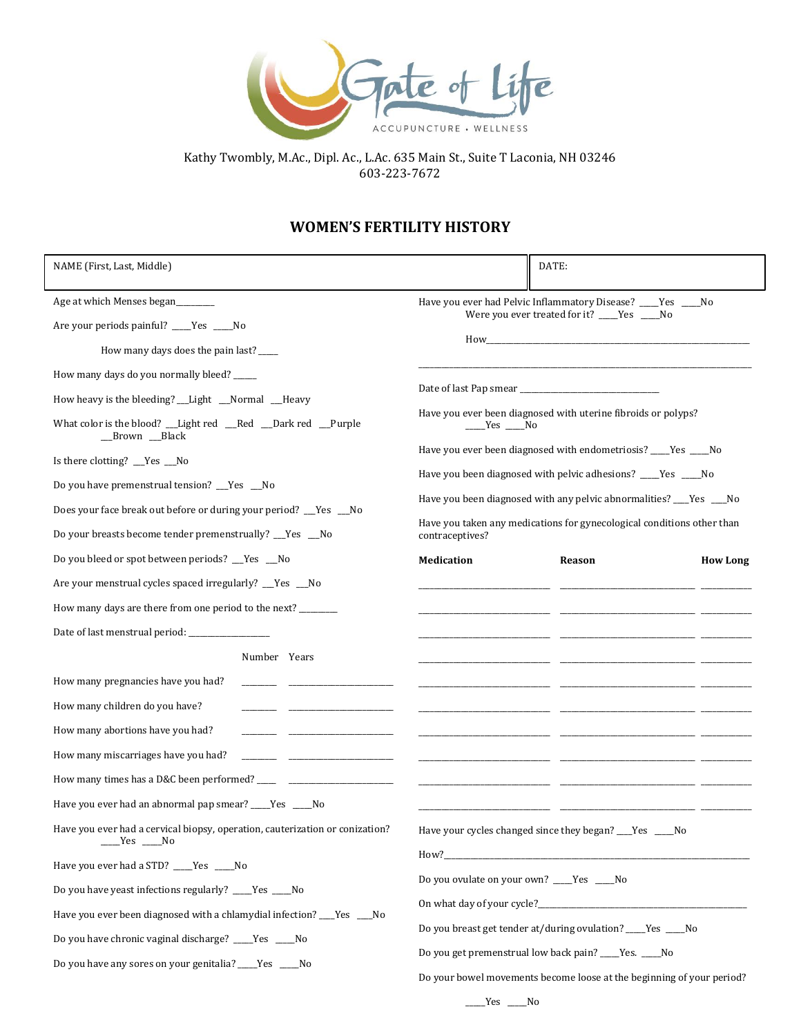

Kathy Twombly, M.Ac., Dipl. Ac., L.Ac. 635 Main St., Suite T Laconia, NH 03246 603-223-7672

## **WOMEN'S FERTILITY HISTORY**

| NAME (First, Last, Middle)                                                                                                                                                                                                                                                                                                                                                                                                                                  |                                                                                                                                                                                                                                                                                                  | DATE:                                                                                                                                                                                                                                                                                                                                            |                 |
|-------------------------------------------------------------------------------------------------------------------------------------------------------------------------------------------------------------------------------------------------------------------------------------------------------------------------------------------------------------------------------------------------------------------------------------------------------------|--------------------------------------------------------------------------------------------------------------------------------------------------------------------------------------------------------------------------------------------------------------------------------------------------|--------------------------------------------------------------------------------------------------------------------------------------------------------------------------------------------------------------------------------------------------------------------------------------------------------------------------------------------------|-----------------|
| Age at which Menses began<br>Are your periods painful? ____Yes ____No<br>How many days does the pain last? _____                                                                                                                                                                                                                                                                                                                                            | Have you ever had Pelvic Inflammatory Disease? ____Yes ____No<br>Were you ever treated for it? ____Yes ____No                                                                                                                                                                                    |                                                                                                                                                                                                                                                                                                                                                  |                 |
| How many days do you normally bleed? ____<br>How heavy is the bleeding? __Light __Normal __Heavy<br>What color is the blood? __Light red __Red __Dark red __Purple<br>__Brown __Black<br>Is there clotting? __Yes __No<br>Do you have premenstrual tension? __Yes __No<br>Does your face break out before or during your period? __Yes __No<br>Do your breasts become tender premenstrually? __Yes __No<br>Do you bleed or spot between periods? __Yes __No | $Yes$ No<br>contraceptives?<br><b>Medication</b>                                                                                                                                                                                                                                                 | Have you ever been diagnosed with uterine fibroids or polyps?<br>Have you ever been diagnosed with endometriosis? ____Yes ____No<br>Have you been diagnosed with pelvic adhesions? ___Yes ___No<br>Have you been diagnosed with any pelvic abnormalities? ___Yes ___No<br>Have you taken any medications for gynecological conditions other than |                 |
| Are your menstrual cycles spaced irregularly? __Yes __No<br>How many days are there from one period to the next? _______<br>Date of last menstrual period: _________________                                                                                                                                                                                                                                                                                |                                                                                                                                                                                                                                                                                                  | Reason                                                                                                                                                                                                                                                                                                                                           | <b>How Long</b> |
| Number Years<br>How many pregnancies have you had?<br>How many children do you have?<br>How many abortions have you had?<br>How many miscarriages have you had?<br>Have you ever had an abnormal pap smear? ____Yes ____No                                                                                                                                                                                                                                  |                                                                                                                                                                                                                                                                                                  |                                                                                                                                                                                                                                                                                                                                                  |                 |
| Have you ever had a cervical biopsy, operation, cauterization or conization?<br>_Yes ___No<br>Have you ever had a STD? ____Yes ____No<br>Do you have yeast infections regularly? ___Yes ___No<br>Have you ever been diagnosed with a chlamydial infection? ___ Yes ___ No<br>Do you have chronic vaginal discharge? ____Yes ____No<br>Do you have any sores on your genitalia? _____Yes ______No                                                            | Have your cycles changed since they began? ___Yes ___No<br>Do you ovulate on your own? ____Yes ____No<br>Do you breast get tender at/during ovulation? Yes No<br>Do you get premenstrual low back pain? ____Yes. ____No<br>Do your bowel movements become loose at the beginning of your period? |                                                                                                                                                                                                                                                                                                                                                  |                 |